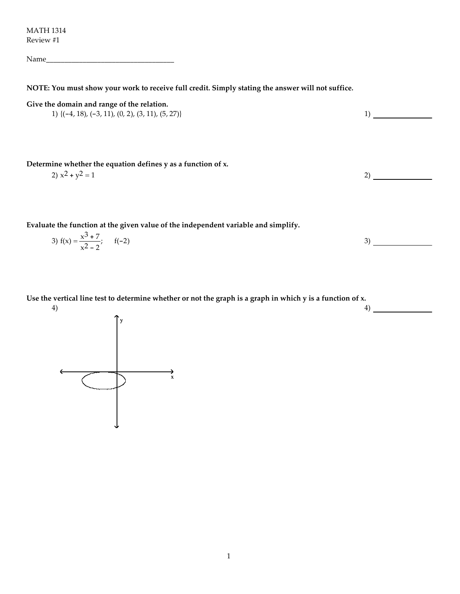MATH 1314 Review #1

Name\_\_\_\_\_\_\_\_\_\_\_\_\_\_\_\_\_\_\_\_\_\_\_\_\_\_\_\_\_\_\_\_\_\_\_

NOTE: You must show your work to receive full credit. Simply stating the answer will not suffice.

Give the domain and range of the relation.

1) 
$$
\{(-4, 18), (-3, 11), (0, 2), (3, 11), (5, 27)\}
$$

Determine whether the equation defines y as a function of x.

$$
2) x2 + y2 = 1
$$

Evaluate the function at the given value of the independent variable and simplify.

3) 
$$
f(x) = \frac{x^3 + 7}{x^2 - 2}
$$
;  $f(-2)$ 

4)

Use the vertical line test to determine whether or not the graph is a graph in which y is a function of x.

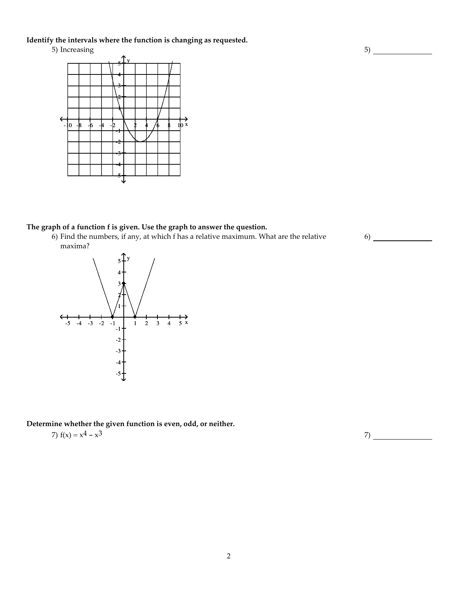### Identify the intervals where the function is changing as requested.

5) Increasing



## The graph of a function f is given. Use the graph to answer the question.

6) Find the numbers, if any, at which f has a relative maximum. What are the relative maxima?



#### Determine whether the given function is even, odd, or neither.

7) 
$$
f(x) = x^4 - x^3
$$

2

5)

6)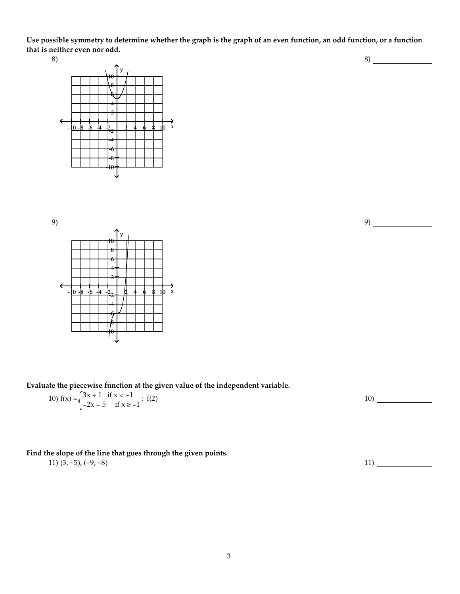Use possible symmetry to determine whether the graph is the graph of an even function, an odd function, or a function that is neither even nor odd.

8)





Evaluate the piecewise function at the given value of the independent variable.

10) 
$$
f(x) = \begin{cases} 3x + 1 & \text{if } x < -1 \\ -2x - 5 & \text{if } x \ge -1 \end{cases}
$$
; f(2)

## Find the slope of the line that goes through the given points.

$$
11) (3, -5), (-9, -8) \tag{11}
$$

9)

8)

3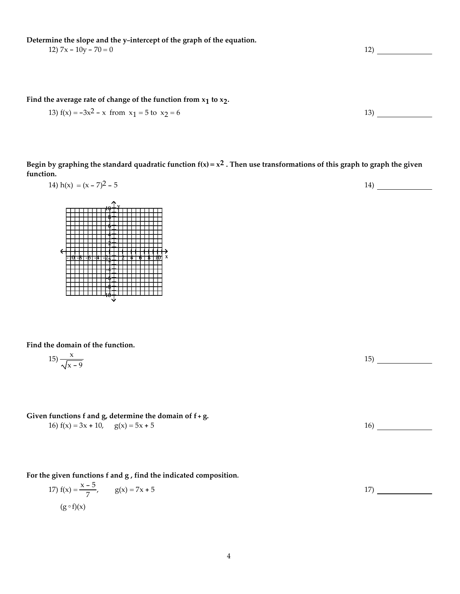Determine the slope and the y-intercept of the graph of the equation.

12)  $7x - 10y - 70 = 0$  12)

Find the average rate of change of the function from  $x_1$  to  $x_2$ .

13) 
$$
f(x) = -3x^2 - x
$$
 from  $x_1 = 5$  to  $x_2 = 6$ 

Begin by graphing the standard quadratic function  $f(x) = x^2$ . Then use transformations of this graph to graph the given function.

$$
14) h(x) = (x - 7)^2 - 5
$$



 $10 + Y$ 

Find the domain of the function.

$$
15) \frac{x}{\sqrt{x-9}}
$$

Given functions f and g, determine the domain of  $f + g$ .

16)  $f(x) = 3x + 10$ ,  $g(x) = 5x + 5$  16)

For the given functions f and g , find the indicated composition.

17) 
$$
f(x) = \frac{x-5}{7}
$$
,  $g(x) = 7x + 5$   
( $g \circ f(x)$ )

15)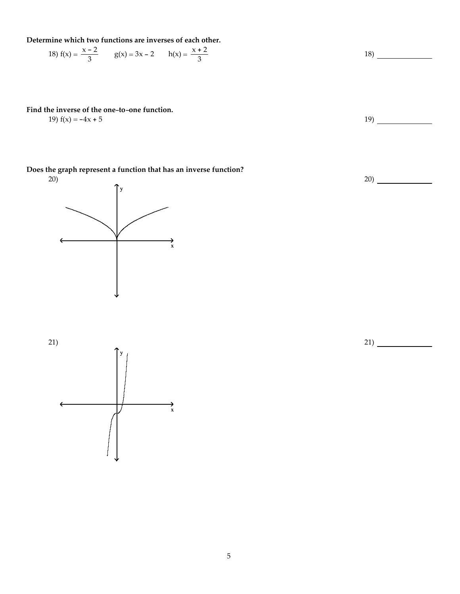Determine which two functions are inverses of each other.

18) 
$$
f(x) = \frac{x-2}{3}
$$
  $g(x) = 3x - 2$   $h(x) = \frac{x+2}{3}$ 

Find the inverse of the one-to-one function.

19)  $f(x) = -4x + 5$  19

Does the graph represent a function that has an inverse function?



20)

21)



18)